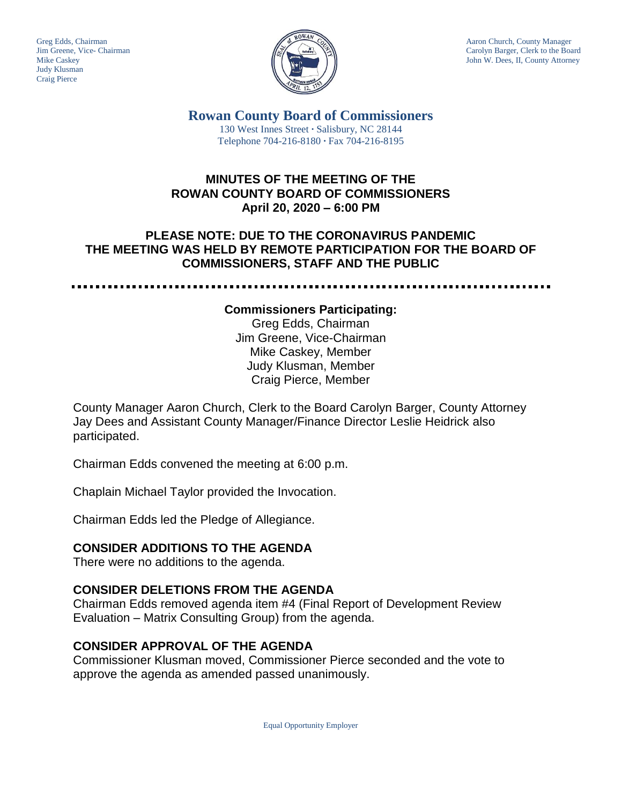Judy Klusman Craig Pierce



Greg Edds, Chairman Aaron Church, County Manager<br>Jim Greene, Vice- Chairman Aaron Church, County Manager<br>Carolyn Barger, Clerk to the Boa Carolyn Barger, Clerk to the Board Mike Caskey John W. Dees, II, County Attorney

> **Rowan County Board of Commissioners** 130 West Innes Street **∙** Salisbury, NC 28144 Telephone 704-216-8180 **∙** Fax 704-216-8195

#### **MINUTES OF THE MEETING OF THE ROWAN COUNTY BOARD OF COMMISSIONERS April 20, 2020 – 6:00 PM**

## **PLEASE NOTE: DUE TO THE CORONAVIRUS PANDEMIC THE MEETING WAS HELD BY REMOTE PARTICIPATION FOR THE BOARD OF COMMISSIONERS, STAFF AND THE PUBLIC**

#### **Commissioners Participating:**

Greg Edds, Chairman Jim Greene, Vice-Chairman Mike Caskey, Member Judy Klusman, Member Craig Pierce, Member

County Manager Aaron Church, Clerk to the Board Carolyn Barger, County Attorney Jay Dees and Assistant County Manager/Finance Director Leslie Heidrick also participated.

Chairman Edds convened the meeting at 6:00 p.m.

Chaplain Michael Taylor provided the Invocation.

Chairman Edds led the Pledge of Allegiance.

#### **CONSIDER ADDITIONS TO THE AGENDA**

There were no additions to the agenda.

#### **CONSIDER DELETIONS FROM THE AGENDA**

Chairman Edds removed agenda item #4 (Final Report of Development Review Evaluation – Matrix Consulting Group) from the agenda.

#### **CONSIDER APPROVAL OF THE AGENDA**

Commissioner Klusman moved, Commissioner Pierce seconded and the vote to approve the agenda as amended passed unanimously.

Equal Opportunity Employer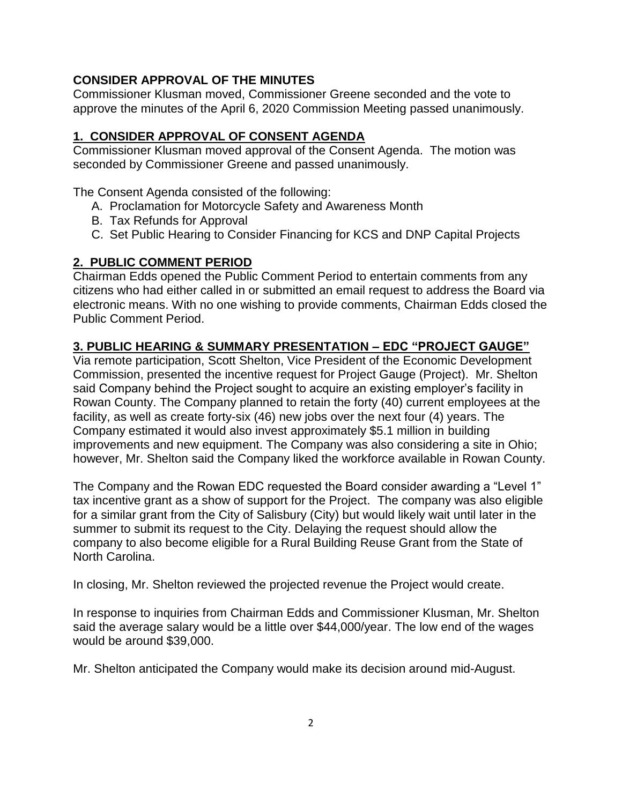## **CONSIDER APPROVAL OF THE MINUTES**

Commissioner Klusman moved, Commissioner Greene seconded and the vote to approve the minutes of the April 6, 2020 Commission Meeting passed unanimously.

# **1. CONSIDER APPROVAL OF CONSENT AGENDA**

Commissioner Klusman moved approval of the Consent Agenda. The motion was seconded by Commissioner Greene and passed unanimously.

The Consent Agenda consisted of the following:

- A. Proclamation for Motorcycle Safety and Awareness Month
- B. Tax Refunds for Approval
- C. Set Public Hearing to Consider Financing for KCS and DNP Capital Projects

# **2. PUBLIC COMMENT PERIOD**

Chairman Edds opened the Public Comment Period to entertain comments from any citizens who had either called in or submitted an email request to address the Board via electronic means. With no one wishing to provide comments, Chairman Edds closed the Public Comment Period.

# **3. PUBLIC HEARING & SUMMARY PRESENTATION – EDC "PROJECT GAUGE"**

Via remote participation, Scott Shelton, Vice President of the Economic Development Commission, presented the incentive request for Project Gauge (Project). Mr. Shelton said Company behind the Project sought to acquire an existing employer's facility in Rowan County. The Company planned to retain the forty (40) current employees at the facility, as well as create forty-six (46) new jobs over the next four (4) years. The Company estimated it would also invest approximately \$5.1 million in building improvements and new equipment. The Company was also considering a site in Ohio; however, Mr. Shelton said the Company liked the workforce available in Rowan County.

The Company and the Rowan EDC requested the Board consider awarding a "Level 1" tax incentive grant as a show of support for the Project. The company was also eligible for a similar grant from the City of Salisbury (City) but would likely wait until later in the summer to submit its request to the City. Delaying the request should allow the company to also become eligible for a Rural Building Reuse Grant from the State of North Carolina.

In closing, Mr. Shelton reviewed the projected revenue the Project would create.

In response to inquiries from Chairman Edds and Commissioner Klusman, Mr. Shelton said the average salary would be a little over \$44,000/year. The low end of the wages would be around \$39,000.

Mr. Shelton anticipated the Company would make its decision around mid-August.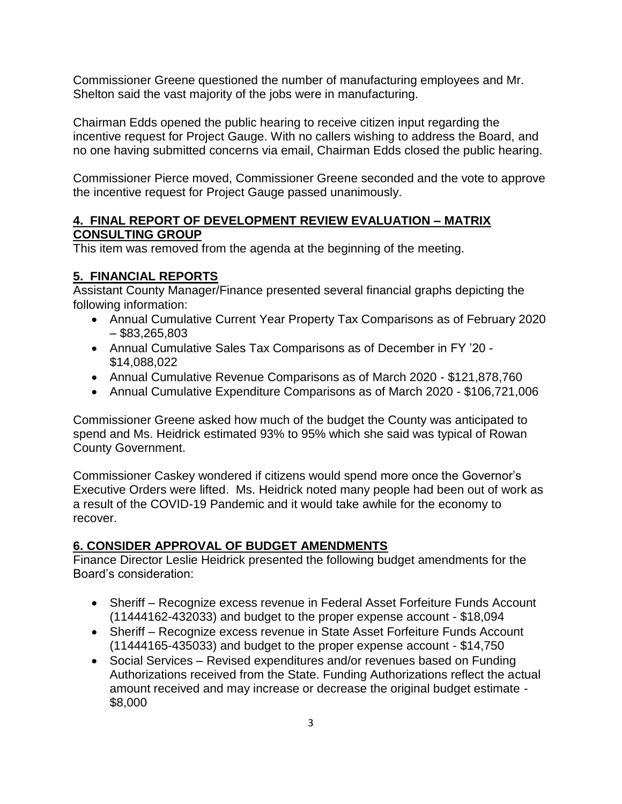Commissioner Greene questioned the number of manufacturing employees and Mr. Shelton said the vast majority of the jobs were in manufacturing.

Chairman Edds opened the public hearing to receive citizen input regarding the incentive request for Project Gauge. With no callers wishing to address the Board, and no one having submitted concerns via email, Chairman Edds closed the public hearing.

Commissioner Pierce moved, Commissioner Greene seconded and the vote to approve the incentive request for Project Gauge passed unanimously.

## **4. FINAL REPORT OF DEVELOPMENT REVIEW EVALUATION – MATRIX CONSULTING GROUP**

This item was removed from the agenda at the beginning of the meeting.

# **5. FINANCIAL REPORTS**

Assistant County Manager/Finance presented several financial graphs depicting the following information:

- Annual Cumulative Current Year Property Tax Comparisons as of February 2020  $-$ \$83,265,803
- Annual Cumulative Sales Tax Comparisons as of December in FY '20 \$14,088,022
- Annual Cumulative Revenue Comparisons as of March 2020 \$121,878,760
- Annual Cumulative Expenditure Comparisons as of March 2020 \$106,721,006

Commissioner Greene asked how much of the budget the County was anticipated to spend and Ms. Heidrick estimated 93% to 95% which she said was typical of Rowan County Government.

Commissioner Caskey wondered if citizens would spend more once the Governor's Executive Orders were lifted. Ms. Heidrick noted many people had been out of work as a result of the COVID-19 Pandemic and it would take awhile for the economy to recover.

# **6. CONSIDER APPROVAL OF BUDGET AMENDMENTS**

Finance Director Leslie Heidrick presented the following budget amendments for the Board's consideration:

- Sheriff Recognize excess revenue in Federal Asset Forfeiture Funds Account (11444162-432033) and budget to the proper expense account - \$18,094
- Sheriff Recognize excess revenue in State Asset Forfeiture Funds Account (11444165-435033) and budget to the proper expense account - \$14,750
- Social Services Revised expenditures and/or revenues based on Funding Authorizations received from the State. Funding Authorizations reflect the actual amount received and may increase or decrease the original budget estimate - \$8,000